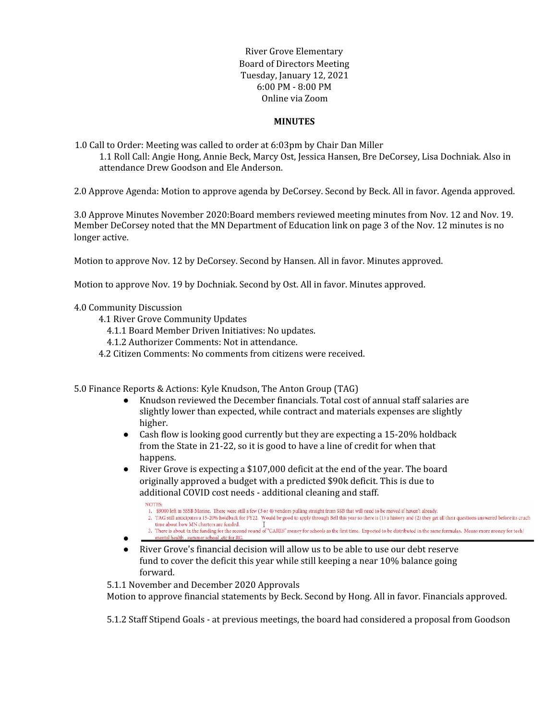River Grove Elementary Board of Directors Meeting Tuesday, January 12, 2021 6:00 PM - 8:00 PM Online via Zoom

### **MINUTES**

1.0 Call to Order: Meeting was called to order at 6:03pm by Chair Dan Miller 1.1 Roll Call: Angie Hong, Annie Beck, Marcy Ost, Jessica Hansen, Bre DeCorsey, Lisa Dochniak. Also in attendance Drew Goodson and Ele Anderson.

2.0 Approve Agenda: Motion to approve agenda by DeCorsey. Second by Beck. All in favor. Agenda approved.

3.0 Approve Minutes November 2020:Board members reviewed meeting minutes from Nov. 12 and Nov. 19. Member DeCorsey noted that the MN Department of Education link on page 3 of the Nov. 12 minutes is no longer active.

Motion to approve Nov. 12 by DeCorsey. Second by Hansen. All in favor. Minutes approved.

Motion to approve Nov. 19 by Dochniak. Second by Ost. All in favor. Minutes approved.

#### 4.0 Community Discussion

- 4.1 River Grove Community Updates
	- 4.1.1 Board Member Driven Initiatives: No updates.
	- 4.1.2 Authorizer Comments: Not in attendance.
- 4.2 Citizen Comments: No comments from citizens were received.

5.0 Finance Reports & Actions: Kyle Knudson, The Anton Group (TAG)

- Knudson reviewed the December financials. Total cost of annual staff salaries are slightly lower than expected, while contract and materials expenses are slightly higher.
- Cash flow is looking good currently but they are expecting a 15-20% holdback from the State in 21-22, so it is good to have a line of credit for when that happens.
- River Grove is expecting a \$107,000 deficit at the end of the year. The board originally approved a budget with a predicted \$90k deficit. This is due to additional COVID cost needs - additional cleaning and staff.
	- NOTES-1. \$9000 left in SSSB Marine. There were still a few (3 or 4) vendors pulling straight from SSB that will need to be moved if haven't already.
	- TAG still anticipates a 15-20% holdback for FY22. Would be good to apply through Bell this year so there is (1) a history and (2) they get all their questions answered before its cruch time about how MN charters are funded.
	- 3. There is about 4x the funding for the second round of "CARES" money for schools as the first time. Expected to be distributed in the same formulas. Means more money for tech/
- ●
- River Grove's financial decision will allow us to be able to use our debt reserve fund to cover the deficit this year while still keeping a near 10% balance going forward.

5.1.1 November and December 2020 Approvals

Motion to approve financial statements by Beck. Second by Hong. All in favor. Financials approved.

5.1.2 Staff Stipend Goals - at previous meetings, the board had considered a proposal from Goodson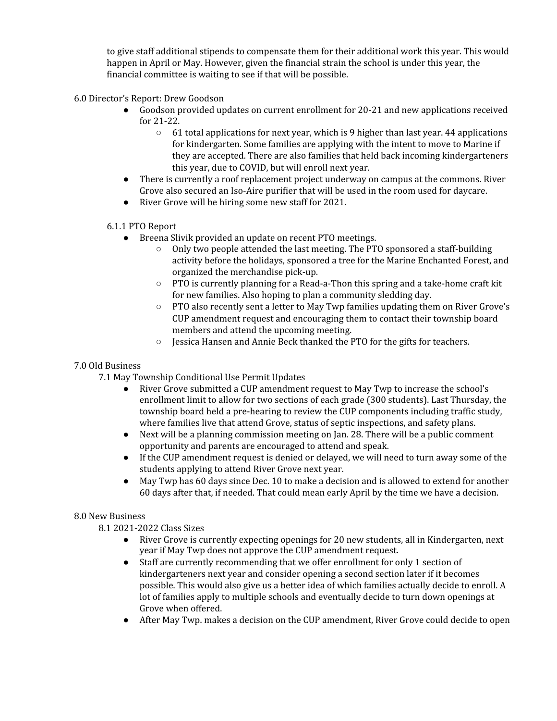to give staff additional stipends to compensate them for their additional work this year. This would happen in April or May. However, given the financial strain the school is under this year, the financial committee is waiting to see if that will be possible.

6.0 Director's Report: Drew Goodson

- Goodson provided updates on current enrollment for 20-21 and new applications received for 21-22.
	- $\circ$  61 total applications for next year, which is 9 higher than last year. 44 applications for kindergarten. Some families are applying with the intent to move to Marine if they are accepted. There are also families that held back incoming kindergarteners this year, due to COVID, but will enroll next year.
- There is currently a roof replacement project underway on campus at the commons. River Grove also secured an Iso-Aire purifier that will be used in the room used for daycare.
- River Grove will be hiring some new staff for 2021.

# 6.1.1 PTO Report

- Breena Slivik provided an update on recent PTO meetings.
	- $\circ$  Only two people attended the last meeting. The PTO sponsored a staff-building activity before the holidays, sponsored a tree for the Marine Enchanted Forest, and organized the merchandise pick-up.
	- $\circ$  PTO is currently planning for a Read-a-Thon this spring and a take-home craft kit for new families. Also hoping to plan a community sledding day.
	- PTO also recently sent a letter to May Twp families updating them on River Grove's CUP amendment request and encouraging them to contact their township board members and attend the upcoming meeting.
	- Jessica Hansen and Annie Beck thanked the PTO for the gifts for teachers.

## 7.0 Old Business

- 7.1 May Township Conditional Use Permit Updates
	- River Grove submitted a CUP amendment request to May Twp to increase the school's enrollment limit to allow for two sections of each grade (300 students). Last Thursday, the township board held a pre-hearing to review the CUP components including traffic study, where families live that attend Grove, status of septic inspections, and safety plans.
	- Next will be a planning commission meeting on Jan. 28. There will be a public comment opportunity and parents are encouraged to attend and speak.
	- If the CUP amendment request is denied or delayed, we will need to turn away some of the students applying to attend River Grove next year.
	- May Twp has 60 days since Dec. 10 to make a decision and is allowed to extend for another 60 days after that, if needed. That could mean early April by the time we have a decision.

### 8.0 New Business

8.1 2021-2022 Class Sizes

- River Grove is currently expecting openings for 20 new students, all in Kindergarten, next year if May Twp does not approve the CUP amendment request.
- Staff are currently recommending that we offer enrollment for only 1 section of kindergarteners next year and consider opening a second section later if it becomes possible. This would also give us a better idea of which families actually decide to enroll. A lot of families apply to multiple schools and eventually decide to turn down openings at Grove when offered.
- After May Twp. makes a decision on the CUP amendment, River Grove could decide to open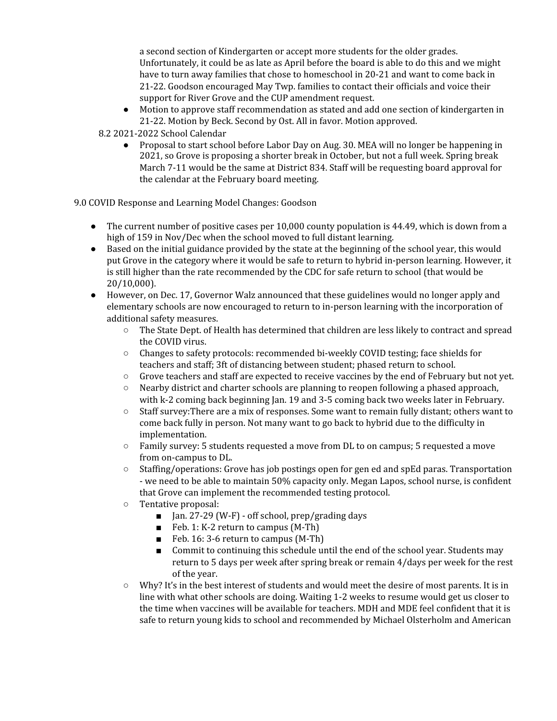a second section of Kindergarten or accept more students for the older grades. Unfortunately, it could be as late as April before the board is able to do this and we might have to turn away families that chose to homeschool in 20-21 and want to come back in 21-22. Goodson encouraged May Twp. families to contact their officials and voice their support for River Grove and the CUP amendment request.

● Motion to approve staff recommendation as stated and add one section of kindergarten in 21-22. Motion by Beck. Second by Ost. All in favor. Motion approved.

8.2 2021-2022 School Calendar

● Proposal to start school before Labor Day on Aug. 30. MEA will no longer be happening in 2021, so Grove is proposing a shorter break in October, but not a full week. Spring break March 7-11 would be the same at District 834. Staff will be requesting board approval for the calendar at the February board meeting.

9.0 COVID Response and Learning Model Changes: Goodson

- The current number of positive cases per 10,000 county population is 44.49, which is down from a high of 159 in Nov/Dec when the school moved to full distant learning.
- Based on the initial guidance provided by the state at the beginning of the school year, this would put Grove in the category where it would be safe to return to hybrid in-person learning. However, it is still higher than the rate recommended by the CDC for safe return to school (that would be 20/10,000).
- However, on Dec. 17, Governor Walz announced that these guidelines would no longer apply and elementary schools are now encouraged to return to in-person learning with the incorporation of additional safety measures.
	- The State Dept. of Health has determined that children are less likely to contract and spread the COVID virus.
	- Changes to safety protocols: recommended bi-weekly COVID testing; face shields for teachers and staff; 3ft of distancing between student; phased return to school.
	- Grove teachers and staff are expected to receive vaccines by the end of February but not yet.
	- Nearby district and charter schools are planning to reopen following a phased approach, with k-2 coming back beginning Jan. 19 and 3-5 coming back two weeks later in February.
	- Staff survey:There are a mix of responses. Some want to remain fully distant; others want to come back fully in person. Not many want to go back to hybrid due to the difficulty in implementation.
	- $\circ$  Family survey: 5 students requested a move from DL to on campus; 5 requested a move from on-campus to DL.
	- Staffing/operations: Grove has job postings open for gen ed and spEd paras. Transportation - we need to be able to maintain 50% capacity only. Megan Lapos, school nurse, is confident that Grove can implement the recommended testing protocol.
	- Tentative proposal:
		- Jan. 27-29 (W-F) off school, prep/grading days
		- Feb. 1: K-2 return to campus (M-Th)
		- Feb. 16: 3-6 return to campus (M-Th)
		- Commit to continuing this schedule until the end of the school year. Students may return to 5 days per week after spring break or remain 4/days per week for the rest of the year.
	- Why? It's in the best interest of students and would meet the desire of most parents. It is in line with what other schools are doing. Waiting 1-2 weeks to resume would get us closer to the time when vaccines will be available for teachers. MDH and MDE feel confident that it is safe to return young kids to school and recommended by Michael Olsterholm and American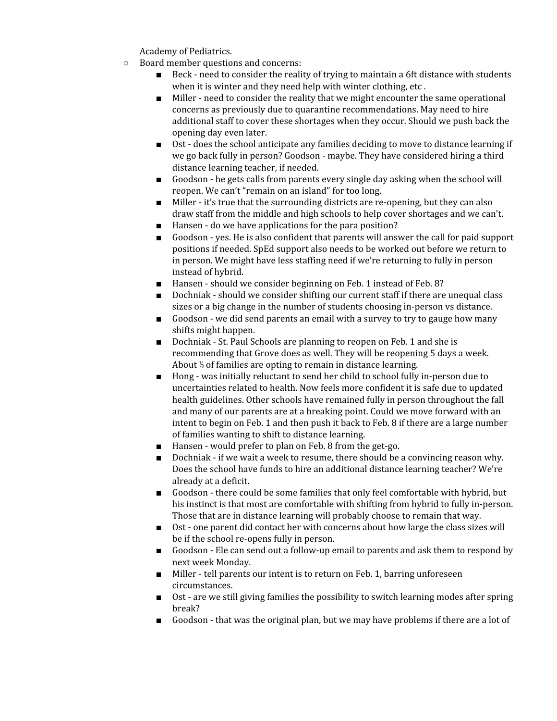Academy of Pediatrics.

- Board member questions and concerns:
	- Beck need to consider the reality of trying to maintain a 6ft distance with students when it is winter and they need help with winter clothing, etc .
	- Miller need to consider the reality that we might encounter the same operational concerns as previously due to quarantine recommendations. May need to hire additional staff to cover these shortages when they occur. Should we push back the opening day even later.
	- Ost does the school anticipate any families deciding to move to distance learning if we go back fully in person? Goodson - maybe. They have considered hiring a third distance learning teacher, if needed.
	- Goodson he gets calls from parents every single day asking when the school will reopen. We can't "remain on an island" for too long.
	- Miller it's true that the surrounding districts are re-opening, but they can also draw staff from the middle and high schools to help cover shortages and we can't.
	- Hansen do we have applications for the para position?
	- Goodson yes. He is also confident that parents will answer the call for paid support positions if needed. SpEd support also needs to be worked out before we return to in person. We might have less staffing need if we're returning to fully in person instead of hybrid.
	- Hansen should we consider beginning on Feb. 1 instead of Feb. 8?
	- Dochniak should we consider shifting our current staff if there are unequal class sizes or a big change in the number of students choosing in-person vs distance.
	- Goodson we did send parents an email with a survey to try to gauge how many shifts might happen.
	- Dochniak St. Paul Schools are planning to reopen on Feb. 1 and she is recommending that Grove does as well. They will be reopening 5 days a week. About ⅓ of families are opting to remain in distance learning.
	- Hong was initially reluctant to send her child to school fully in-person due to uncertainties related to health. Now feels more confident it is safe due to updated health guidelines. Other schools have remained fully in person throughout the fall and many of our parents are at a breaking point. Could we move forward with an intent to begin on Feb. 1 and then push it back to Feb. 8 if there are a large number of families wanting to shift to distance learning.
	- Hansen would prefer to plan on Feb. 8 from the get-go.
	- Dochniak if we wait a week to resume, there should be a convincing reason why. Does the school have funds to hire an additional distance learning teacher? We're already at a deficit.
	- Goodson there could be some families that only feel comfortable with hybrid, but his instinct is that most are comfortable with shifting from hybrid to fully in-person. Those that are in distance learning will probably choose to remain that way.
	- Ost one parent did contact her with concerns about how large the class sizes will be if the school re-opens fully in person.
	- Goodson Ele can send out a follow-up email to parents and ask them to respond by next week Monday.
	- Miller tell parents our intent is to return on Feb. 1, barring unforeseen circumstances.
	- Ost are we still giving families the possibility to switch learning modes after spring break?
	- Goodson that was the original plan, but we may have problems if there are a lot of